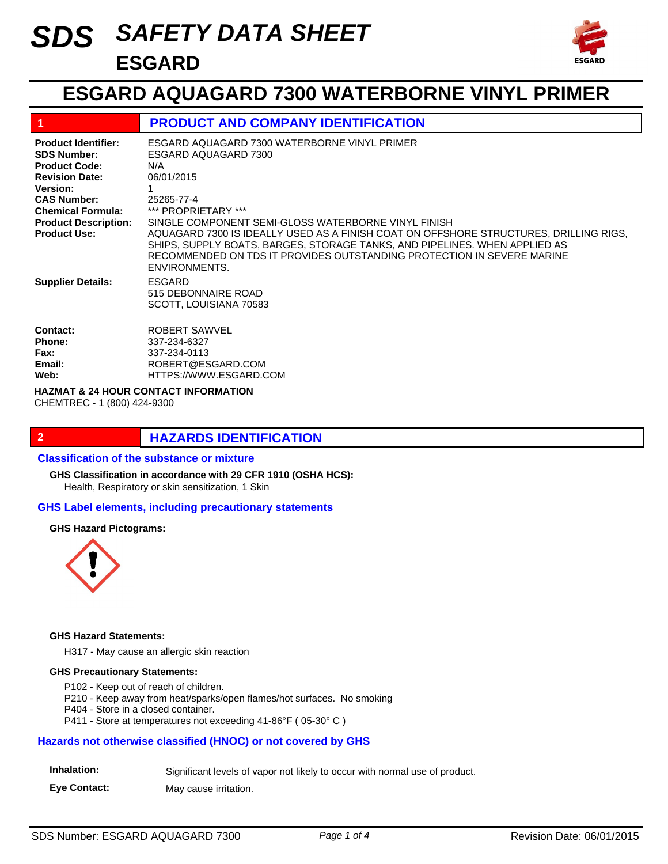# *SAFETY DATA SHEET SDS* **ESGARD**



## **ESGARD AQUAGARD 7300 WATERBORNE VINYL PRIMER**

| -1                                                                                                                                                                                                                    | <b>PRODUCT AND COMPANY IDENTIFICATION</b>                                                                                                                                                                                                                                                                                                                                                                                                                    |
|-----------------------------------------------------------------------------------------------------------------------------------------------------------------------------------------------------------------------|--------------------------------------------------------------------------------------------------------------------------------------------------------------------------------------------------------------------------------------------------------------------------------------------------------------------------------------------------------------------------------------------------------------------------------------------------------------|
| <b>Product Identifier:</b><br><b>SDS Number:</b><br><b>Product Code:</b><br><b>Revision Date:</b><br>Version:<br><b>CAS Number:</b><br><b>Chemical Formula:</b><br><b>Product Description:</b><br><b>Product Use:</b> | ESGARD AQUAGARD 7300 WATERBORNE VINYL PRIMER<br>ESGARD AQUAGARD 7300<br>N/A<br>06/01/2015<br>1<br>25265-77-4<br>*** PROPRIETARY ***<br>SINGLE COMPONENT SEMI-GLOSS WATERBORNE VINYL FINISH<br>AQUAGARD 7300 IS IDEALLY USED AS A FINISH COAT ON OFFSHORE STRUCTURES, DRILLING RIGS,<br>SHIPS, SUPPLY BOATS, BARGES, STORAGE TANKS, AND PIPELINES. WHEN APPLIED AS<br>RECOMMENDED ON TDS IT PROVIDES OUTSTANDING PROTECTION IN SEVERE MARINE<br>ENVIRONMENTS. |
| <b>Supplier Details:</b>                                                                                                                                                                                              | <b>ESGARD</b><br>515 DEBONNAIRE ROAD<br>SCOTT, LOUISIANA 70583                                                                                                                                                                                                                                                                                                                                                                                               |
| Contact:<br><b>Phone:</b><br>Fax:<br>Email:<br>Web:                                                                                                                                                                   | ROBERT SAWVEL<br>337-234-6327<br>337-234-0113<br>ROBERT@ESGARD.COM<br>HTTPS://WWW.ESGARD.COM                                                                                                                                                                                                                                                                                                                                                                 |

**HAZMAT & 24 HOUR CONTACT INFORMATION** 

CHEMTREC - 1 (800) 424-9300

#### **2 HAZARDS IDENTIFICATION**

#### **Classification of the substance or mixture**

**GHS Classification in accordance with 29 CFR 1910 (OSHA HCS):**

Health, Respiratory or skin sensitization, 1 Skin

#### **GHS Label elements, including precautionary statements**

#### **GHS Hazard Pictograms:**



#### **GHS Hazard Statements:**

H317 - May cause an allergic skin reaction

#### **GHS Precautionary Statements:**

P102 - Keep out of reach of children.

P210 - Keep away from heat/sparks/open flames/hot surfaces. No smoking

P404 - Store in a closed container.

P411 - Store at temperatures not exceeding 41-86°F ( 05-30° C )

#### **Hazards not otherwise classified (HNOC) or not covered by GHS**

| Inhalation: | Significant levels of vapor not likely to occur with normal use of product. |  |  |  |  |
|-------------|-----------------------------------------------------------------------------|--|--|--|--|
|-------------|-----------------------------------------------------------------------------|--|--|--|--|

**Eye Contact:** May cause irritation.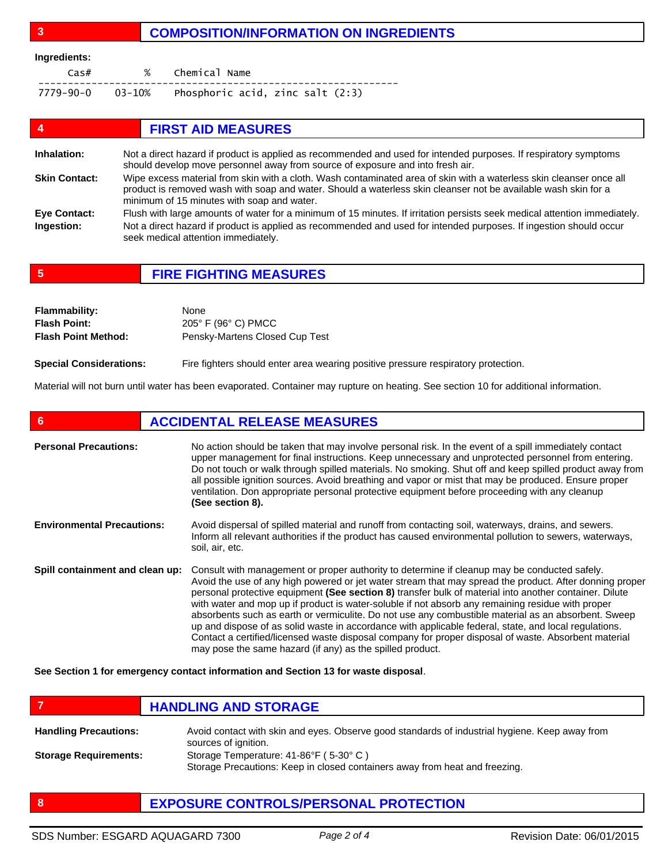#### **3 COMPOSITION/INFORMATION ON INGREDIENTS**

#### **Ingredients:**

| Cas# | % Chemical Name                                           |
|------|-----------------------------------------------------------|
|      | $7779 - 90 - 0$ 03-10% Phosphoric acid, zinc salt $(2:3)$ |

| 4                    | <b>FIRST AID MEASURES</b>                                                                                                                                                                                                                                                           |
|----------------------|-------------------------------------------------------------------------------------------------------------------------------------------------------------------------------------------------------------------------------------------------------------------------------------|
| Inhalation:          | Not a direct hazard if product is applied as recommended and used for intended purposes. If respiratory symptoms<br>should develop move personnel away from source of exposure and into fresh air.                                                                                  |
| <b>Skin Contact:</b> | Wipe excess material from skin with a cloth. Wash contaminated area of skin with a waterless skin cleanser once all<br>product is removed wash with soap and water. Should a waterless skin cleanser not be available wash skin for a<br>minimum of 15 minutes with soap and water. |
| <b>Eye Contact:</b>  | Flush with large amounts of water for a minimum of 15 minutes. If irritation persists seek medical attention immediately.                                                                                                                                                           |
| Ingestion:           | Not a direct hazard if product is applied as recommended and used for intended purposes. If ingestion should occur<br>seek medical attention immediately.                                                                                                                           |

**5 FIRE FIGHTING MEASURES**

| <b>Flammability:</b>       | None                           |
|----------------------------|--------------------------------|
| <b>Flash Point:</b>        | 205° F (96° C) PMCC            |
| <b>Flash Point Method:</b> | Pensky-Martens Closed Cup Test |
|                            |                                |

**Special Considerations:** Fire fighters should enter area wearing positive pressure respiratory protection.

Material will not burn until water has been evaporated. Container may rupture on heating. See section 10 for additional information.

| 6                                 | <b>ACCIDENTAL RELEASE MEASURES</b>                                                                                                                                                                                                                                                                                                                                                                                                                                                                                                                                                                                                                                                                                                                                                                          |  |
|-----------------------------------|-------------------------------------------------------------------------------------------------------------------------------------------------------------------------------------------------------------------------------------------------------------------------------------------------------------------------------------------------------------------------------------------------------------------------------------------------------------------------------------------------------------------------------------------------------------------------------------------------------------------------------------------------------------------------------------------------------------------------------------------------------------------------------------------------------------|--|
| <b>Personal Precautions:</b>      | No action should be taken that may involve personal risk. In the event of a spill immediately contact<br>upper management for final instructions. Keep unnecessary and unprotected personnel from entering.<br>Do not touch or walk through spilled materials. No smoking. Shut off and keep spilled product away from<br>all possible ignition sources. Avoid breathing and vapor or mist that may be produced. Ensure proper<br>ventilation. Don appropriate personal protective equipment before proceeding with any cleanup<br>(See section 8).                                                                                                                                                                                                                                                         |  |
| <b>Environmental Precautions:</b> | Avoid dispersal of spilled material and runoff from contacting soil, waterways, drains, and sewers.<br>Inform all relevant authorities if the product has caused environmental pollution to sewers, waterways,<br>soil, air, etc.                                                                                                                                                                                                                                                                                                                                                                                                                                                                                                                                                                           |  |
| Spill containment and clean up:   | Consult with management or proper authority to determine if cleanup may be conducted safely.<br>Avoid the use of any high powered or jet water stream that may spread the product. After donning proper<br>personal protective equipment (See section 8) transfer bulk of material into another container. Dilute<br>with water and mop up if product is water-soluble if not absorb any remaining residue with proper<br>absorbents such as earth or vermiculite. Do not use any combustible material as an absorbent. Sweep<br>up and dispose of as solid waste in accordance with applicable federal, state, and local regulations.<br>Contact a certified/licensed waste disposal company for proper disposal of waste. Absorbent material<br>may pose the same hazard (if any) as the spilled product. |  |

**See Section 1 for emergency contact information and Section 13 for waste disposal**.

- **FIGURE 12 IN STRUCK AND STORAGE** Avoid contact with skin and eyes. Observe good standards of industrial hygiene. Keep away from sources of ignition. Storage Temperature: 41-86°F ( 5-30° C ) Storage Precautions: Keep in closed containers away from heat and freezing. **Handling Precautions: Storage Requirements:**
- **8 EXPOSURE CONTROLS/PERSONAL PROTECTION**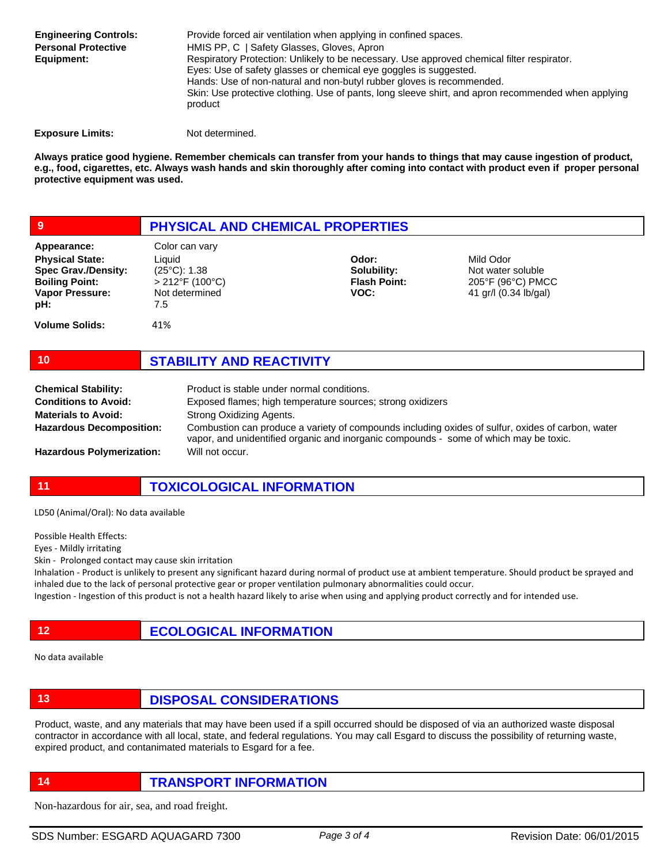Provide forced air ventilation when applying in confined spaces. HMIS PP, C | Safety Glasses, Gloves, Apron Respiratory Protection: Unlikely to be necessary. Use approved chemical filter respirator. Eyes: Use of safety glasses or chemical eye goggles is suggested. Hands: Use of non-natural and non-butyl rubber gloves is recommended. Skin: Use protective clothing. Use of pants, long sleeve shirt, and apron recommended when applying product **Engineering Controls: Personal Protective Equipment:**

**Exposure Limits:** Not determined.

**Always pratice good hygiene. Remember chemicals can transfer from your hands to things that may cause ingestion of product, e.g., food, cigarettes, etc. Always wash hands and skin thoroughly after coming into contact with product even if proper personal protective equipment was used.** 

| 9                                                                                                                             | <b>PHYSICAL AND CHEMICAL PROPERTIES</b>                                                          |                                                     |                                                                              |  |
|-------------------------------------------------------------------------------------------------------------------------------|--------------------------------------------------------------------------------------------------|-----------------------------------------------------|------------------------------------------------------------------------------|--|
| Appearance:<br><b>Physical State:</b><br><b>Spec Grav./Density:</b><br><b>Boiling Point:</b><br><b>Vapor Pressure:</b><br>pH: | Color can vary<br>Liauid<br>$(25^{\circ}C)$ : 1.38<br>$>$ 212°F (100°C)<br>Not determined<br>7.5 | Odor:<br>Solubility:<br><b>Flash Point:</b><br>VOC: | Mild Odor<br>Not water soluble<br>205°F (96°C) PMCC<br>41 gr/l (0.34 lb/gal) |  |
| <b>Volume Solids:</b>                                                                                                         | 41%                                                                                              |                                                     |                                                                              |  |

### **10 STABILITY AND REACTIVITY**

| <b>Chemical Stability:</b>       | Product is stable under normal conditions.                                                                                                                                                 |
|----------------------------------|--------------------------------------------------------------------------------------------------------------------------------------------------------------------------------------------|
| <b>Conditions to Avoid:</b>      | Exposed flames; high temperature sources; strong oxidizers                                                                                                                                 |
| <b>Materials to Avoid:</b>       | Strong Oxidizing Agents.                                                                                                                                                                   |
| <b>Hazardous Decomposition:</b>  | Combustion can produce a variety of compounds including oxides of sulfur, oxides of carbon, water<br>vapor, and unidentified organic and inorganic compounds - some of which may be toxic. |
| <b>Hazardous Polymerization:</b> | Will not occur.                                                                                                                                                                            |

**11 TOXICOLOGICAL INFORMATION**

LD50 (Animal/Oral): No data available

Possible Health Effects:

Eyes - Mildly irritating

Skin - Prolonged contact may cause skin irritation

Inhalation - Product is unlikely to present any significant hazard during normal of product use at ambient temperature. Should product be sprayed and inhaled due to the lack of personal protective gear or proper ventilation pulmonary abnormalities could occur.

Ingestion - Ingestion of this product is not a health hazard likely to arise when using and applying product correctly and for intended use.

**12 ECOLOGICAL INFORMATION** 

No data available

**13 DISPOSAL CONSIDERATIONS**

Product, waste, and any materials that may have been used if a spill occurred should be disposed of via an authorized waste disposal contractor in accordance with all local, state, and federal regulations. You may call Esgard to discuss the possibility of returning waste, expired product, and contanimated materials to Esgard for a fee.

**14 TRANSPORT INFORMATION**

Non-hazardous for air, sea, and road freight.